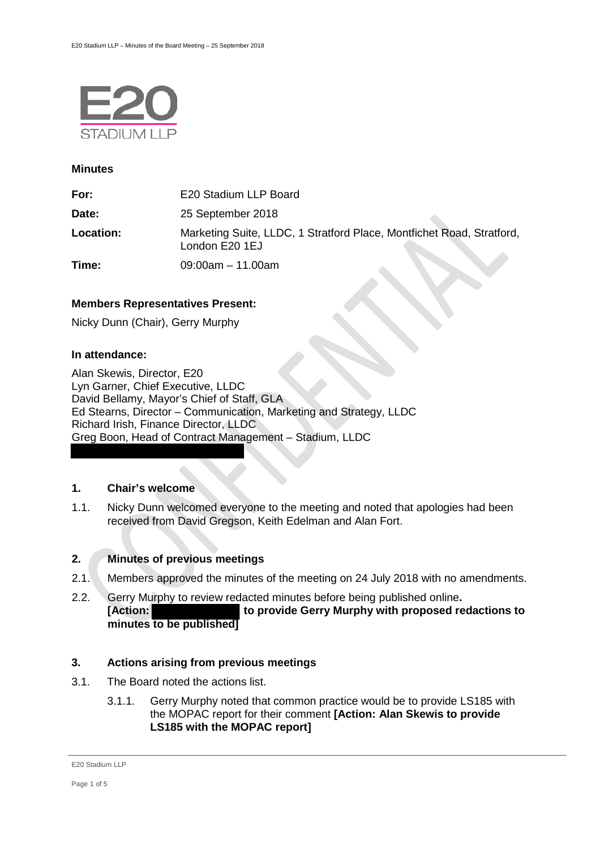

### **Minutes**

| For:      | E20 Stadium LLP Board                                                                   |
|-----------|-----------------------------------------------------------------------------------------|
| Date:     | 25 September 2018                                                                       |
| Location: | Marketing Suite, LLDC, 1 Stratford Place, Montfichet Road, Stratford,<br>London E20 1EJ |
| Time:     | $09:00am - 11.00am$                                                                     |

# **Members Representatives Present:**

Nicky Dunn (Chair), Gerry Murphy

# **In attendance:**

Alan Skewis, Director, E20 Lyn Garner, Chief Executive, LLDC David Bellamy, Mayor's Chief of Staff, GLA Ed Stearns, Director – Communication, Marketing and Strategy, LLDC Richard Irish, Finance Director, LLDC Greg Boon, Head of Contract Management – Stadium, LLDC

# **1. Chair's welcome**

1.1. Nicky Dunn welcomed everyone to the meeting and noted that apologies had been received from David Gregson, Keith Edelman and Alan Fort.

# **2. Minutes of previous meetings**

- 2.1. Members approved the minutes of the meeting on 24 July 2018 with no amendments.
- 2.2. Gerry Murphy to review redacted minutes before being published online**. [Action: to provide Gerry Murphy with proposed redactions to minutes to be published]**

# **3. Actions arising from previous meetings**

- 3.1. The Board noted the actions list.
	- 3.1.1. Gerry Murphy noted that common practice would be to provide LS185 with the MOPAC report for their comment **[Action: Alan Skewis to provide LS185 with the MOPAC report]**

E20 Stadium LLP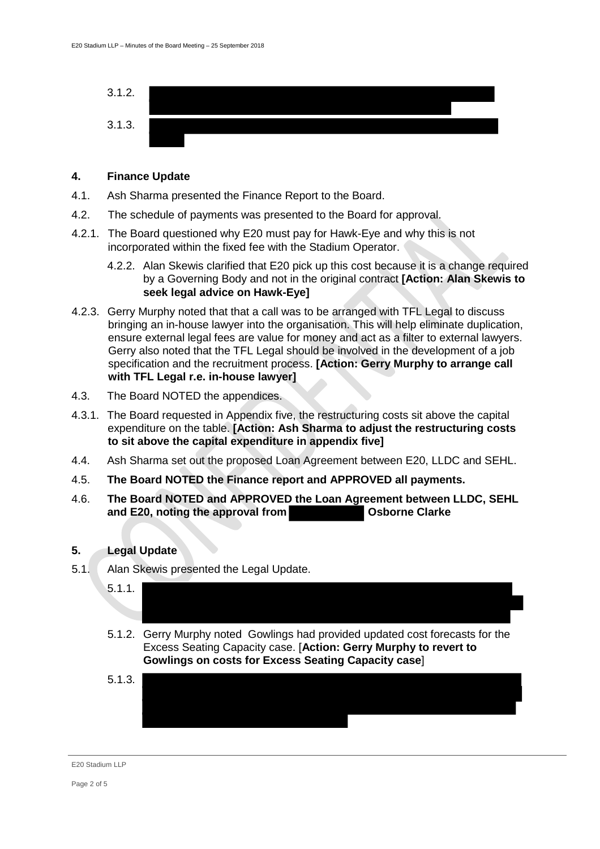

### **4. Finance Update**

- 4.1. Ash Sharma presented the Finance Report to the Board.
- 4.2. The schedule of payments was presented to the Board for approval.
- 4.2.1. The Board questioned why E20 must pay for Hawk-Eye and why this is not incorporated within the fixed fee with the Stadium Operator.
	- 4.2.2. Alan Skewis clarified that E20 pick up this cost because it is a change required by a Governing Body and not in the original contract **[Action: Alan Skewis to seek legal advice on Hawk-Eye]**
- 4.2.3. Gerry Murphy noted that that a call was to be arranged with TFL Legal to discuss bringing an in-house lawyer into the organisation. This will help eliminate duplication, ensure external legal fees are value for money and act as a filter to external lawyers. Gerry also noted that the TFL Legal should be involved in the development of a job specification and the recruitment process. **[Action: Gerry Murphy to arrange call with TFL Legal r.e. in-house lawyer]**
- 4.3. The Board NOTED the appendices.
- 4.3.1. The Board requested in Appendix five, the restructuring costs sit above the capital expenditure on the table. **[Action: Ash Sharma to adjust the restructuring costs to sit above the capital expenditure in appendix five]**
- 4.4. Ash Sharma set out the proposed Loan Agreement between E20, LLDC and SEHL.
- 4.5. **The Board NOTED the Finance report and APPROVED all payments.**
- 4.6. **The Board NOTED and APPROVED the Loan Agreement between LLDC, SEHL and E20, noting the approval from**

# **5. Legal Update**

- 5.1. Alan Skewis presented the Legal Update.
	- 5.1.1. 5.1.2. Gerry Murphy noted Gowlings had provided updated cost forecasts for the
	- Excess Seating Capacity case. [**Action: Gerry Murphy to revert to Gowlings on costs for Excess Seating Capacity case**]
	- 5.1.3.

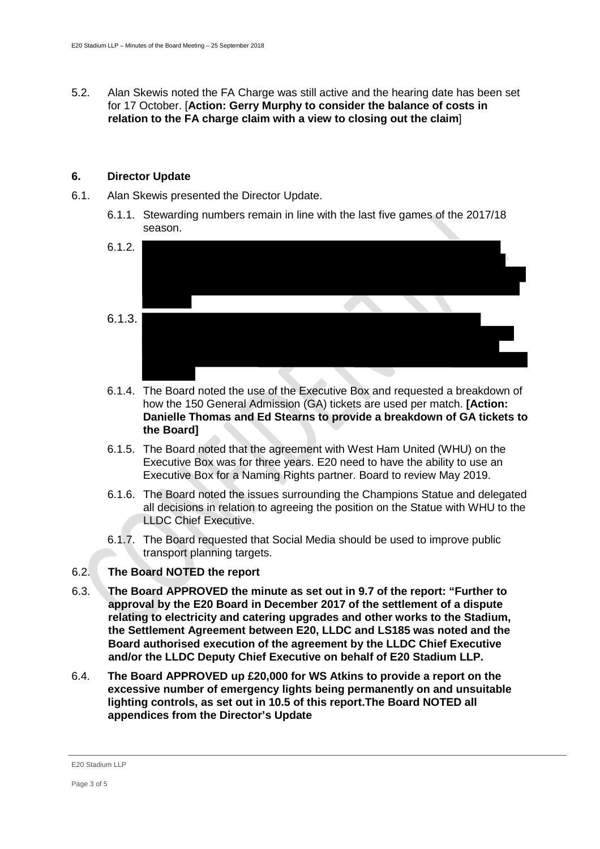5.2. Alan Skewis noted the FA Charge was still active and the hearing date has been set for 17 October. [**Action: Gerry Murphy to consider the balance of costs in relation to the FA charge claim with a view to closing out the claim**]

### **6. Director Update**

- 6.1. Alan Skewis presented the Director Update.
	- 6.1.1. Stewarding numbers remain in line with the last five games of the 2017/18 season.



- 6.1.4. The Board noted the use of the Executive Box and requested a breakdown of how the 150 General Admission (GA) tickets are used per match. **[Action: Danielle Thomas and Ed Stearns to provide a breakdown of GA tickets to the Board]**
- 6.1.5. The Board noted that the agreement with West Ham United (WHU) on the Executive Box was for three years. E20 need to have the ability to use an Executive Box for a Naming Rights partner. Board to review May 2019.
- 6.1.6. The Board noted the issues surrounding the Champions Statue and delegated all decisions in relation to agreeing the position on the Statue with WHU to the LLDC Chief Executive.
- 6.1.7. The Board requested that Social Media should be used to improve public transport planning targets.

# 6.2. **The Board NOTED the report**

- 6.3. **The Board APPROVED the minute as set out in 9.7 of the report: "Further to approval by the E20 Board in December 2017 of the settlement of a dispute relating to electricity and catering upgrades and other works to the Stadium, the Settlement Agreement between E20, LLDC and LS185 was noted and the Board authorised execution of the agreement by the LLDC Chief Executive and/or the LLDC Deputy Chief Executive on behalf of E20 Stadium LLP.**
- 6.4. **The Board APPROVED up £20,000 for WS Atkins to provide a report on the excessive number of emergency lights being permanently on and unsuitable lighting controls, as set out in 10.5 of this report.The Board NOTED all appendices from the Director's Update**

E20 Stadium LLP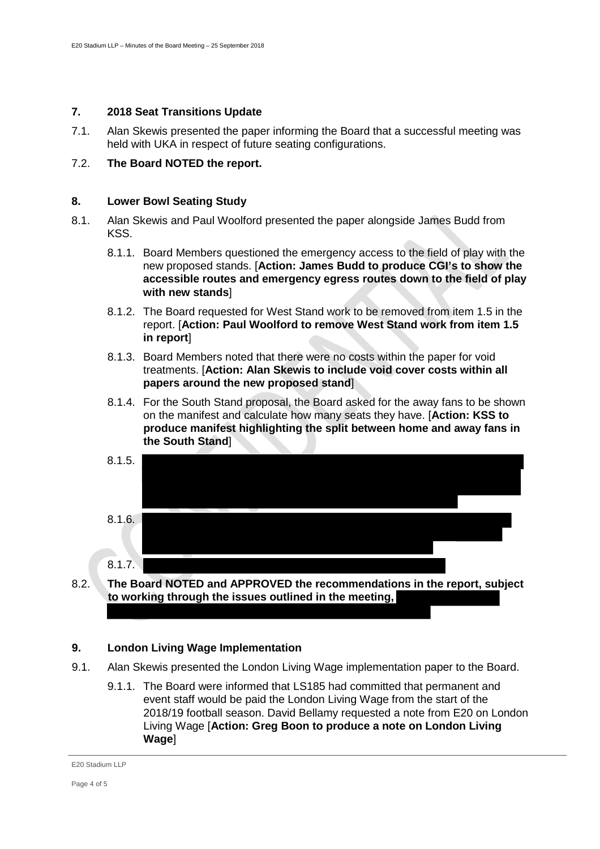# **7. 2018 Seat Transitions Update**

7.1. Alan Skewis presented the paper informing the Board that a successful meeting was held with UKA in respect of future seating configurations.

# 7.2. **The Board NOTED the report.**

### **8. Lower Bowl Seating Study**

- 8.1. Alan Skewis and Paul Woolford presented the paper alongside James Budd from KSS.
	- 8.1.1. Board Members questioned the emergency access to the field of play with the new proposed stands. [**Action: James Budd to produce CGI's to show the accessible routes and emergency egress routes down to the field of play with new stands**]
	- 8.1.2. The Board requested for West Stand work to be removed from item 1.5 in the report. [**Action: Paul Woolford to remove West Stand work from item 1.5 in report**]
	- 8.1.3. Board Members noted that there were no costs within the paper for void treatments. [**Action: Alan Skewis to include void cover costs within all papers around the new proposed stand**]
	- 8.1.4. For the South Stand proposal, the Board asked for the away fans to be shown on the manifest and calculate how many seats they have. [**Action: KSS to produce manifest highlighting the split between home and away fans in the South Stand**]



8.2. **The Board NOTED and APPROVED the recommendations in the report, subject to working through the issues outlined in the meeting,** 

### **9. London Living Wage Implementation**

- 9.1. Alan Skewis presented the London Living Wage implementation paper to the Board.
	- 9.1.1. The Board were informed that LS185 had committed that permanent and event staff would be paid the London Living Wage from the start of the 2018/19 football season. David Bellamy requested a note from E20 on London Living Wage [**Action: Greg Boon to produce a note on London Living Wage**]